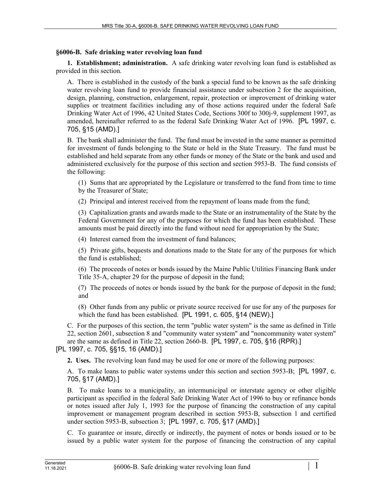## **§6006-B. Safe drinking water revolving loan fund**

**1. Establishment; administration.** A safe drinking water revolving loan fund is established as provided in this section.

A. There is established in the custody of the bank a special fund to be known as the safe drinking water revolving loan fund to provide financial assistance under subsection 2 for the acquisition, design, planning, construction, enlargement, repair, protection or improvement of drinking water supplies or treatment facilities including any of those actions required under the federal Safe Drinking Water Act of 1996, 42 United States Code, Sections 300f to 300j-9, supplement 1997, as amended, hereinafter referred to as the federal Safe Drinking Water Act of 1996. [PL 1997, c. 705, §15 (AMD).]

B. The bank shall administer the fund. The fund must be invested in the same manner as permitted for investment of funds belonging to the State or held in the State Treasury. The fund must be established and held separate from any other funds or money of the State or the bank and used and administered exclusively for the purpose of this section and section 5953-B. The fund consists of the following:

(1) Sums that are appropriated by the Legislature or transferred to the fund from time to time by the Treasurer of State;

(2) Principal and interest received from the repayment of loans made from the fund;

(3) Capitalization grants and awards made to the State or an instrumentality of the State by the Federal Government for any of the purposes for which the fund has been established. These amounts must be paid directly into the fund without need for appropriation by the State;

(4) Interest earned from the investment of fund balances;

(5) Private gifts, bequests and donations made to the State for any of the purposes for which the fund is established;

(6) The proceeds of notes or bonds issued by the Maine Public Utilities Financing Bank under Title 35‑A, chapter 29 for the purpose of deposit in the fund;

(7) The proceeds of notes or bonds issued by the bank for the purpose of deposit in the fund; and

(8) Other funds from any public or private source received for use for any of the purposes for which the fund has been established. [PL 1991, c. 605, §14 (NEW).]

C. For the purposes of this section, the term "public water system" is the same as defined in Title 22, section 2601, subsection 8 and "community water system" and "noncommunity water system"

are the same as defined in Title 22, section 2660-B. [PL 1997, c. 705, §16 (RPR).]

## [PL 1997, c. 705, §§15, 16 (AMD).]

**2. Uses.** The revolving loan fund may be used for one or more of the following purposes:

A. To make loans to public water systems under this section and section 5953-B; [PL 1997, c. 705, §17 (AMD).]

B. To make loans to a municipality, an intermunicipal or interstate agency or other eligible participant as specified in the federal Safe Drinking Water Act of 1996 to buy or refinance bonds or notes issued after July 1, 1993 for the purpose of financing the construction of any capital improvement or management program described in section 5953‑B, subsection 1 and certified under section 5953-B, subsection 3; [PL 1997, c. 705, §17 (AMD).]

C. To guarantee or insure, directly or indirectly, the payment of notes or bonds issued or to be issued by a public water system for the purpose of financing the construction of any capital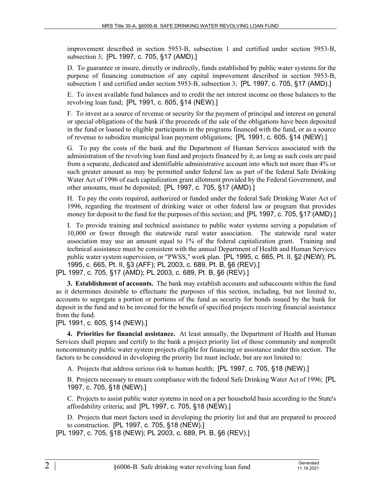improvement described in section 5953‑B, subsection 1 and certified under section 5953‑B, subsection 3; [PL 1997, c. 705, §17 (AMD).]

D. To guarantee or insure, directly or indirectly, funds established by public water systems for the purpose of financing construction of any capital improvement described in section 5953‑B, subsection 1 and certified under section 5953-B, subsection 3; [PL 1997, c. 705, §17 (AMD).]

E. To invest available fund balances and to credit the net interest income on those balances to the revolving loan fund; [PL 1991, c. 605, §14 (NEW).]

F. To invest as a source of revenue or security for the payment of principal and interest on general or special obligations of the bank if the proceeds of the sale of the obligations have been deposited in the fund or loaned to eligible participants in the programs financed with the fund, or as a source of revenue to subsidize municipal loan payment obligations; [PL 1991, c. 605, §14 (NEW).]

G. To pay the costs of the bank and the Department of Human Services associated with the administration of the revolving loan fund and projects financed by it, as long as such costs are paid from a separate, dedicated and identifiable administrative account into which not more than 4% or such greater amount as may be permitted under federal law as part of the federal Safe Drinking Water Act of 1996 of each capitalization grant allotment provided by the Federal Government, and other amounts, must be deposited; [PL 1997, c. 705, §17 (AMD).]

H. To pay the costs required, authorized or funded under the federal Safe Drinking Water Act of 1996, regarding the treatment of drinking water or other federal law or program that provides money for deposit to the fund for the purposes of this section; and [PL 1997, c. 705, §17 (AMD).]

I. To provide training and technical assistance to public water systems serving a population of 10,000 or fewer through the statewide rural water association. The statewide rural water association may use an amount equal to 1% of the federal capitalization grant. Training and technical assistance must be consistent with the annual Department of Health and Human Services public water system supervision, or "PWSS," work plan. [PL 1995, c. 665, Pt. II, §2 (NEW); PL 1995, c. 665, Pt. II, §3 (AFF); PL 2003, c. 689, Pt. B, §6 (REV).]

```
[PL 1997, c. 705, §17 (AMD); PL 2003, c. 689, Pt. B, §6 (REV).]
```
**3. Establishment of accounts.** The bank may establish accounts and subaccounts within the fund as it determines desirable to effectuate the purposes of this section, including, but not limited to, accounts to segregate a portion or portions of the fund as security for bonds issued by the bank for deposit in the fund and to be invested for the benefit of specified projects receiving financial assistance from the fund.

## [PL 1991, c. 605, §14 (NEW).]

**4. Priorities for financial assistance.** At least annually, the Department of Health and Human Services shall prepare and certify to the bank a project priority list of those community and nonprofit noncommunity public water system projects eligible for financing or assistance under this section. The factors to be considered in developing the priority list must include, but are not limited to:

A. Projects that address serious risk to human health; [PL 1997, c. 705, §18 (NEW).]

B. Projects necessary to ensure compliance with the federal Safe Drinking Water Act of 1996; [PL 1997, c. 705, §18 (NEW).]

C. Projects to assist public water systems in need on a per household basis according to the State's affordability criteria; and [PL 1997, c. 705, §18 (NEW).]

D. Projects that meet factors used in developing the priority list and that are prepared to proceed to construction. [PL 1997, c. 705, §18 (NEW).]

[PL 1997, c. 705, §18 (NEW); PL 2003, c. 689, Pt. B, §6 (REV).]